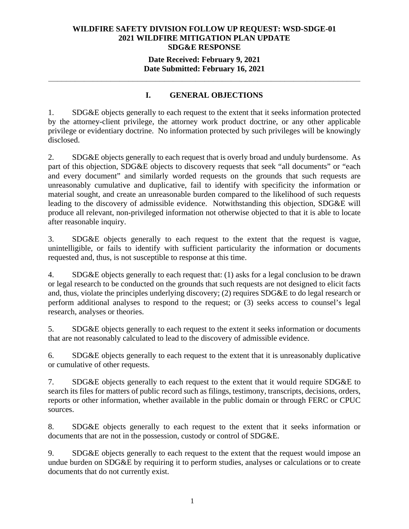## **WILDFIRE SAFETY DIVISION FOLLOW UP REQUEST: WSD-SDGE-01 2021 WILDFIRE MITIGATION PLAN UPDATE SDG&E RESPONSE**

## **Date Received: February 9, 2021 Date Submitted: February 16, 2021**

**\_\_\_\_\_\_\_\_\_\_\_\_\_\_\_\_\_\_\_\_\_\_\_\_\_\_\_\_\_\_\_\_\_\_\_\_\_\_\_\_\_\_\_\_\_\_\_\_\_\_\_\_\_\_\_\_\_\_\_\_\_\_\_\_\_\_\_\_\_\_** 

## **I. GENERAL OBJECTIONS**

1. SDG&E objects generally to each request to the extent that it seeks information protected by the attorney-client privilege, the attorney work product doctrine, or any other applicable privilege or evidentiary doctrine. No information protected by such privileges will be knowingly disclosed.

2. SDG&E objects generally to each request that is overly broad and unduly burdensome. As part of this objection, SDG&E objects to discovery requests that seek "all documents" or "each and every document" and similarly worded requests on the grounds that such requests are unreasonably cumulative and duplicative, fail to identify with specificity the information or material sought, and create an unreasonable burden compared to the likelihood of such requests leading to the discovery of admissible evidence. Notwithstanding this objection, SDG&E will produce all relevant, non-privileged information not otherwise objected to that it is able to locate after reasonable inquiry.

3. SDG&E objects generally to each request to the extent that the request is vague, unintelligible, or fails to identify with sufficient particularity the information or documents requested and, thus, is not susceptible to response at this time.

4. SDG&E objects generally to each request that: (1) asks for a legal conclusion to be drawn or legal research to be conducted on the grounds that such requests are not designed to elicit facts and, thus, violate the principles underlying discovery; (2) requires SDG&E to do legal research or perform additional analyses to respond to the request; or (3) seeks access to counsel's legal research, analyses or theories.

5. SDG&E objects generally to each request to the extent it seeks information or documents that are not reasonably calculated to lead to the discovery of admissible evidence.

6. SDG&E objects generally to each request to the extent that it is unreasonably duplicative or cumulative of other requests.

7. SDG&E objects generally to each request to the extent that it would require SDG&E to search its files for matters of public record such as filings, testimony, transcripts, decisions, orders, reports or other information, whether available in the public domain or through FERC or CPUC sources.

8. SDG&E objects generally to each request to the extent that it seeks information or documents that are not in the possession, custody or control of SDG&E.

9. SDG&E objects generally to each request to the extent that the request would impose an undue burden on SDG&E by requiring it to perform studies, analyses or calculations or to create documents that do not currently exist.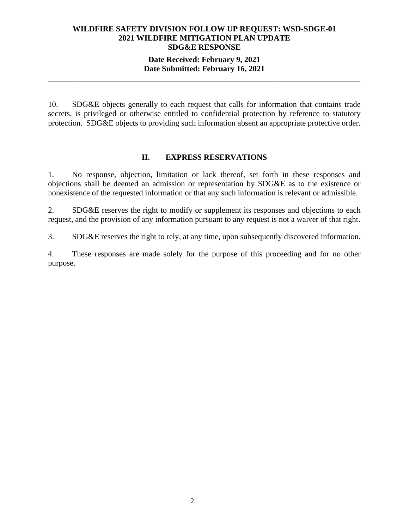# **WILDFIRE SAFETY DIVISION FOLLOW UP REQUEST: WSD-SDGE-01 2021 WILDFIRE MITIGATION PLAN UPDATE SDG&E RESPONSE**

## **Date Received: February 9, 2021 Date Submitted: February 16, 2021**

**\_\_\_\_\_\_\_\_\_\_\_\_\_\_\_\_\_\_\_\_\_\_\_\_\_\_\_\_\_\_\_\_\_\_\_\_\_\_\_\_\_\_\_\_\_\_\_\_\_\_\_\_\_\_\_\_\_\_\_\_\_\_\_\_\_\_\_\_\_\_** 

10. SDG&E objects generally to each request that calls for information that contains trade secrets, is privileged or otherwise entitled to confidential protection by reference to statutory protection. SDG&E objects to providing such information absent an appropriate protective order.

#### **II. EXPRESS RESERVATIONS**

1. No response, objection, limitation or lack thereof, set forth in these responses and objections shall be deemed an admission or representation by SDG&E as to the existence or nonexistence of the requested information or that any such information is relevant or admissible.

2. SDG&E reserves the right to modify or supplement its responses and objections to each request, and the provision of any information pursuant to any request is not a waiver of that right.

3. SDG&E reserves the right to rely, at any time, upon subsequently discovered information.

4. These responses are made solely for the purpose of this proceeding and for no other purpose.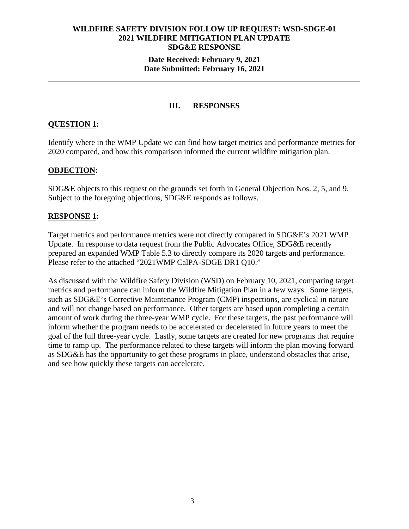## **WILDFIRE SAFETY DIVISION FOLLOW UP REQUEST: WSD-SDGE-01 2021 WILDFIRE MITIGATION PLAN UPDATE SDG&E RESPONSE Date Received: February 9, 2021**

# **Date Submitted: February 16, 2021 \_\_\_\_\_\_\_\_\_\_\_\_\_\_\_\_\_\_\_\_\_\_\_\_\_\_\_\_\_\_\_\_\_\_\_\_\_\_\_\_\_\_\_\_\_\_\_\_\_\_\_\_\_\_\_\_\_\_\_\_\_\_\_\_\_\_\_\_\_\_**

#### **III. RESPONSES**

## **QUESTION 1:**

Identify where in the WMP Update we can find how target metrics and performance metrics for 2020 compared, and how this comparison informed the current wildfire mitigation plan.

#### **OBJECTION:**

SDG&E objects to this request on the grounds set forth in General Objection Nos. 2, 5, and 9. Subject to the foregoing objections, SDG&E responds as follows.

#### **RESPONSE 1:**

Target metrics and performance metrics were not directly compared in SDG&E's 2021 WMP Update. In response to data request from the Public Advocates Office, SDG&E recently prepared an expanded WMP Table 5.3 to directly compare its 2020 targets and performance. Please refer to the attached "2021WMP CalPA-SDGE DR1 Q10."

As discussed with the Wildfire Safety Division (WSD) on February 10, 2021, comparing target metrics and performance can inform the Wildfire Mitigation Plan in a few ways. Some targets, such as SDG&E's Corrective Maintenance Program (CMP) inspections, are cyclical in nature and will not change based on performance. Other targets are based upon completing a certain amount of work during the three-year WMP cycle. For these targets, the past performance will inform whether the program needs to be accelerated or decelerated in future years to meet the goal of the full three-year cycle. Lastly, some targets are created for new programs that require time to ramp up. The performance related to these targets will inform the plan moving forward as SDG&E has the opportunity to get these programs in place, understand obstacles that arise, and see how quickly these targets can accelerate.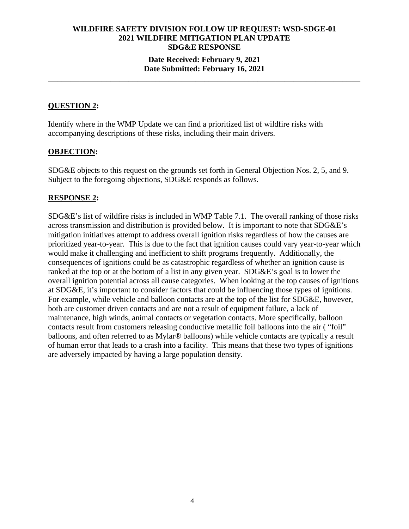# **WILDFIRE SAFETY DIVISION FOLLOW UP REQUEST: WSD-SDGE-01 2021 WILDFIRE MITIGATION PLAN UPDATE SDG&E RESPONSE Date Received: February 9, 2021**

#### **Date Submitted: February 16, 2021 \_\_\_\_\_\_\_\_\_\_\_\_\_\_\_\_\_\_\_\_\_\_\_\_\_\_\_\_\_\_\_\_\_\_\_\_\_\_\_\_\_\_\_\_\_\_\_\_\_\_\_\_\_\_\_\_\_\_\_\_\_\_\_\_\_\_\_\_\_\_**

## **QUESTION 2:**

Identify where in the WMP Update we can find a prioritized list of wildfire risks with accompanying descriptions of these risks, including their main drivers.

#### **OBJECTION:**

SDG&E objects to this request on the grounds set forth in General Objection Nos. 2, 5, and 9. Subject to the foregoing objections, SDG&E responds as follows.

## **RESPONSE 2:**

SDG&E's list of wildfire risks is included in WMP Table 7.1. The overall ranking of those risks across transmission and distribution is provided below. It is important to note that SDG&E's mitigation initiatives attempt to address overall ignition risks regardless of how the causes are prioritized year-to-year. This is due to the fact that ignition causes could vary year-to-year which would make it challenging and inefficient to shift programs frequently. Additionally, the consequences of ignitions could be as catastrophic regardless of whether an ignition cause is ranked at the top or at the bottom of a list in any given year. SDG&E's goal is to lower the overall ignition potential across all cause categories. When looking at the top causes of ignitions at SDG&E, it's important to consider factors that could be influencing those types of ignitions. For example, while vehicle and balloon contacts are at the top of the list for SDG&E, however, both are customer driven contacts and are not a result of equipment failure, a lack of maintenance, high winds, animal contacts or vegetation contacts. More specifically, balloon contacts result from customers releasing conductive metallic foil balloons into the air ( "foil" balloons, and often referred to as Mylar® balloons) while vehicle contacts are typically a result of human error that leads to a crash into a facility. This means that these two types of ignitions are adversely impacted by having a large population density.